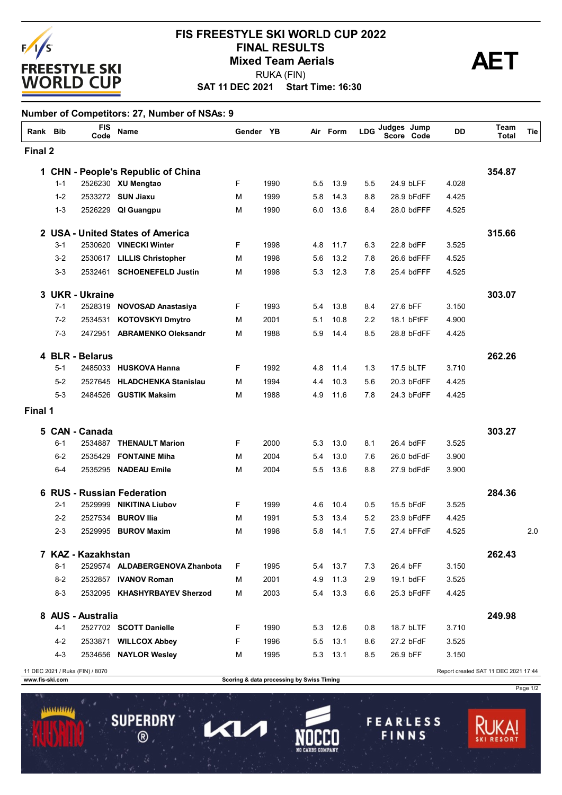

### **SAT 11 DEC 2021 Start Time: 16:30 FIS FREESTYLE SKI WORLD CUP 2022 FINAL RESULTS<br>Mixed Team Aerials**<br>PUKA (FIN) RUKA (FIN)

### **Number of Competitors: 27, Number of NSAs: 9**

|         | Rank Bib | <b>FIS</b><br>Code   | <b>Name</b>                             | Gender YB |      |     | Air Form | <b>LDG</b> | Judges Jump<br>Score | Code       | DD    | Team<br>Total | Tie |
|---------|----------|----------------------|-----------------------------------------|-----------|------|-----|----------|------------|----------------------|------------|-------|---------------|-----|
| Final 2 |          |                      |                                         |           |      |     |          |            |                      |            |       |               |     |
| 1       |          |                      | <b>CHN - People's Republic of China</b> |           |      |     |          |            |                      |            |       | 354.87        |     |
|         | $1 - 1$  |                      | 2526230 XU Mengtao                      | F         | 1990 | 5.5 | 13.9     | 5.5        | 24.9 bLFF            |            | 4.028 |               |     |
|         | $1 - 2$  |                      | 2533272 SUN Jiaxu                       | м         | 1999 | 5.8 | 14.3     | 8.8        | 28.9 bFdFF           |            | 4.425 |               |     |
|         | $1 - 3$  |                      | 2526229 QI Guangpu                      | М         | 1990 | 6.0 | 13.6     | 8.4        |                      | 28.0 bdFFF | 4.525 |               |     |
|         |          |                      | 2 USA - United States of America        |           |      |     |          |            |                      |            |       | 315.66        |     |
|         | $3 - 1$  |                      | 2530620 VINECKI Winter                  | F         | 1998 | 4.8 | 11.7     | 6.3        | 22.8 bdFF            |            | 3.525 |               |     |
|         | $3-2$    |                      | 2530617 LILLIS Christopher              | М         | 1998 | 5.6 | 13.2     | 7.8        | 26.6 bdFFF           |            | 4.525 |               |     |
|         | $3 - 3$  |                      | 2532461 SCHOENEFELD Justin              | м         | 1998 | 5.3 | 12.3     | 7.8        |                      | 25.4 bdFFF | 4.525 |               |     |
| 3       |          | <b>UKR - Ukraine</b> |                                         |           |      |     |          |            |                      |            |       | 303.07        |     |
|         | $7 - 1$  |                      | 2528319 NOVOSAD Anastasiya              | F.        | 1993 | 5.4 | 13.8     | 8.4        | 27.6 bFF             |            | 3.150 |               |     |
|         | $7-2$    | 2534531              | <b>KOTOVSKYI Dmytro</b>                 | м         | 2001 | 5.1 | 10.8     | 2.2        | 18.1 bFtFF           |            | 4.900 |               |     |
|         | $7 - 3$  | 2472951              | <b>ABRAMENKO Oleksandr</b>              | М         | 1988 | 5.9 | 14.4     | 8.5        | 28.8 bFdFF           |            | 4.425 |               |     |
|         |          | 4 BLR - Belarus      |                                         |           |      |     |          |            |                      |            |       | 262.26        |     |
|         | $5 - 1$  |                      | 2485033 HUSKOVA Hanna                   | F         | 1992 | 4.8 | 11.4     | 1.3        | 17.5 bLTF            |            | 3.710 |               |     |
|         | $5-2$    | 2527645              | <b>HLADCHENKA Stanislau</b>             | M         | 1994 | 4.4 | 10.3     | 5.6        | 20.3 bFdFF           |            | 4.425 |               |     |
|         | $5-3$    | 2484526              | <b>GUSTIK Maksim</b>                    | м         | 1988 | 4.9 | 11.6     | 7.8        |                      | 24.3 bFdFF | 4.425 |               |     |
| Final 1 |          |                      |                                         |           |      |     |          |            |                      |            |       |               |     |
|         |          | 5 CAN - Canada       |                                         |           |      |     |          |            |                      |            |       | 303.27        |     |
|         | $6 - 1$  | 2534887              | <b>THENAULT Marion</b>                  | F.        | 2000 | 5.3 | 13.0     | 8.1        | 26.4 bdFF            |            | 3.525 |               |     |
|         | $6 - 2$  | 2535429              | <b>FONTAINE Miha</b>                    | м         | 2004 | 5.4 | 13.0     | 7.6        | 26.0 bdFdF           |            | 3.900 |               |     |
|         | $6-4$    | 2535295              | <b>NADEAU Emile</b>                     | М         | 2004 | 5.5 | 13.6     | 8.8        | 27.9 bdFdF           |            | 3.900 |               |     |
| 6       |          |                      | <b>RUS - Russian Federation</b>         |           |      |     |          |            |                      |            |       | 284.36        |     |
|         | $2 - 1$  | 2529999              | <b>NIKITINA Liubov</b>                  | F         | 1999 | 4.6 | 10.4     | 0.5        | 15.5 bFdF            |            | 3.525 |               |     |
|         | $2 - 2$  | 2527534              | <b>BUROV Ilia</b>                       | М         | 1991 | 5.3 | 13.4     | 5.2        | 23.9 bFdFF           |            | 4.425 |               |     |
|         | $2 - 3$  | 2529995              | <b>BUROV Maxim</b>                      | М         | 1998 | 5.8 | 14.1     | 7.5        | 27.4 bFFdF           |            | 4.525 |               | 2.0 |
|         |          | 7 KAZ - Kazakhstan   |                                         |           |      |     |          |            |                      |            |       | 262.43        |     |
|         | $8 - 1$  |                      | 2529574 ALDABERGENOVA Zhanbota          | F.        | 1995 |     | 5.4 13.7 | 7.3        | 26.4 bFF             |            | 3.150 |               |     |
|         | $8 - 2$  |                      | 2532857 IVANOV Roman                    | М         | 2001 | 4.9 | 11.3     | 2.9        | 19.1 bdFF            |            | 3.525 |               |     |
|         | $8 - 3$  |                      | 2532095 KHASHYRBAYEV Sherzod            | м         | 2003 |     | 5.4 13.3 | 6.6        |                      | 25.3 bFdFF | 4.425 |               |     |
|         |          | 8 AUS - Australia    |                                         |           |      |     |          |            |                      |            |       | 249.98        |     |
|         | $4 - 1$  |                      | 2527702 SCOTT Danielle                  | F.        | 1990 | 5.3 | 12.6     | 0.8        | 18.7 bLTF            |            | 3.710 |               |     |
|         | 4-2      |                      | 2533871 WILLCOX Abbey                   | F         | 1996 | 5.5 | 13.1     | 8.6        | 27.2 bFdF            |            | 3.525 |               |     |
|         | $4 - 3$  |                      | 2534656 NAYLOR Wesley                   | м         | 1995 |     | 5.3 13.1 | 8.5        | 26.9 bFF             |            | 3.150 |               |     |

...........

**SUPERDRY** 

 $\circledR$ 

1

KV

**www.fis-ski.com Scoring & data processing by Swiss Timing**

11 DEC 2021 / Ruka (FIN) / 8070 Report created SAT 11 DEC 2021 17:44

Page 1/2